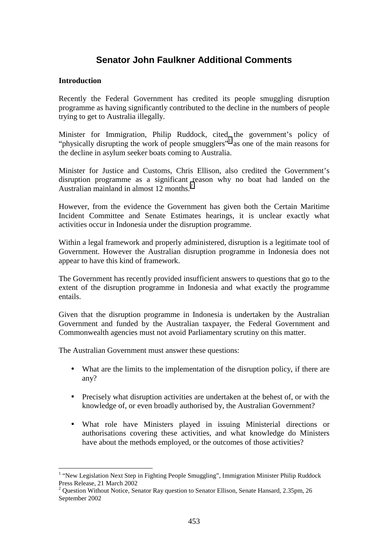# **Senator John Faulkner Additional Comments**

### **Introduction**

Recently the Federal Government has credited its people smuggling disruption programme as having significantly contributed to the decline in the numbers of people trying to get to Australia illegally.

Minister for Immigration, Philip Ruddock, cited the government's policy of "physically disrupting the work of people smugglers"<sup>1</sup> as one of the main reasons for the decline in asylum seeker boats coming to Australia.

Minister for Justice and Customs, Chris Ellison, also credited the Government's disruption programme as a significant reason why no boat had landed on the Australian mainland in almost 12 months.<sup>2</sup>

However, from the evidence the Government has given both the Certain Maritime Incident Committee and Senate Estimates hearings, it is unclear exactly what activities occur in Indonesia under the disruption programme.

Within a legal framework and properly administered, disruption is a legitimate tool of Government. However the Australian disruption programme in Indonesia does not appear to have this kind of framework.

The Government has recently provided insufficient answers to questions that go to the extent of the disruption programme in Indonesia and what exactly the programme entails.

Given that the disruption programme in Indonesia is undertaken by the Australian Government and funded by the Australian taxpayer, the Federal Government and Commonwealth agencies must not avoid Parliamentary scrutiny on this matter.

The Australian Government must answer these questions:

- What are the limits to the implementation of the disruption policy, if there are any?
- Precisely what disruption activities are undertaken at the behest of, or with the knowledge of, or even broadly authorised by, the Australian Government?
- What role have Ministers played in issuing Ministerial directions or authorisations covering these activities, and what knowledge do Ministers have about the methods employed, or the outcomes of those activities?

<sup>&</sup>lt;sup>1</sup> "New Legislation Next Step in Fighting People Smuggling", Immigration Minister Philip Ruddock Press Release, 21 March 2002

<sup>&</sup>lt;sup>2</sup> Question Without Notice, Senator Ray question to Senator Ellison, Senate Hansard, 2.35pm, 26 September 2002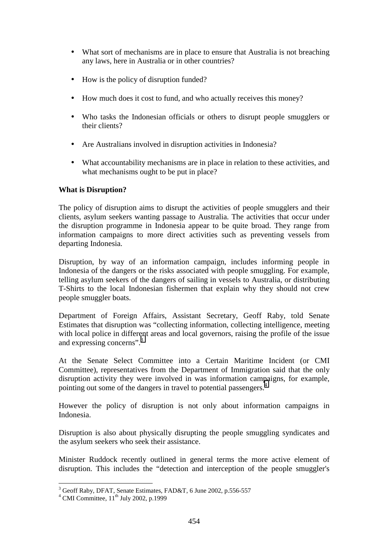- What sort of mechanisms are in place to ensure that Australia is not breaching any laws, here in Australia or in other countries?
- How is the policy of disruption funded?
- How much does it cost to fund, and who actually receives this money?
- Who tasks the Indonesian officials or others to disrupt people smugglers or their clients?
- Are Australians involved in disruption activities in Indonesia?
- What accountability mechanisms are in place in relation to these activities, and what mechanisms ought to be put in place?

## **What is Disruption?**

The policy of disruption aims to disrupt the activities of people smugglers and their clients, asylum seekers wanting passage to Australia. The activities that occur under the disruption programme in Indonesia appear to be quite broad. They range from information campaigns to more direct activities such as preventing vessels from departing Indonesia.

Disruption, by way of an information campaign, includes informing people in Indonesia of the dangers or the risks associated with people smuggling. For example, telling asylum seekers of the dangers of sailing in vessels to Australia, or distributing T-Shirts to the local Indonesian fishermen that explain why they should not crew people smuggler boats.

Department of Foreign Affairs, Assistant Secretary, Geoff Raby, told Senate Estimates that disruption was "collecting information, collecting intelligence, meeting with local police in different areas and local governors, raising the profile of the issue and expressing concerns".<sup>3</sup>

At the Senate Select Committee into a Certain Maritime Incident (or CMI Committee), representatives from the Department of Immigration said that the only disruption activity they were involved in was information campaigns, for example, pointing out some of the dangers in travel to potential passengers.<sup>4</sup>

However the policy of disruption is not only about information campaigns in Indonesia.

Disruption is also about physically disrupting the people smuggling syndicates and the asylum seekers who seek their assistance.

Minister Ruddock recently outlined in general terms the more active element of disruption. This includes the "detection and interception of the people smuggler's

<sup>&</sup>lt;sup>3</sup> Geoff Raby, DFAT, Senate Estimates, FAD&T, 6 June 2002, p.556-557

 $4$  CMI Committee,  $11<sup>th</sup>$  July 2002, p.1999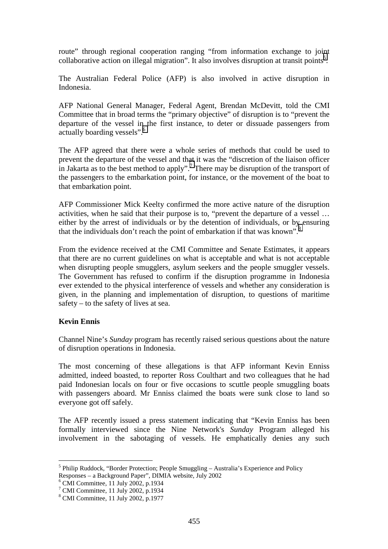route" through regional cooperation ranging "from information exchange to joint collaborative action on illegal migration". It also involves disruption at transit points<sup>5</sup>.

The Australian Federal Police (AFP) is also involved in active disruption in Indonesia.

AFP National General Manager, Federal Agent, Brendan McDevitt, told the CMI Committee that in broad terms the "primary objective" of disruption is to "prevent the departure of the vessel in the first instance, to deter or dissuade passengers from actually boarding vessels".6

The AFP agreed that there were a whole series of methods that could be used to prevent the departure of the vessel and that it was the "discretion of the liaison officer in Jakarta as to the best method to apply".<sup>7</sup> There may be disruption of the transport of the passengers to the embarkation point, for instance, or the movement of the boat to that embarkation point.

AFP Commissioner Mick Keelty confirmed the more active nature of the disruption activities, when he said that their purpose is to, "prevent the departure of a vessel … either by the arrest of individuals or by the detention of individuals, or by ensuring that the individuals don't reach the point of embarkation if that was known".<sup>8</sup>

From the evidence received at the CMI Committee and Senate Estimates, it appears that there are no current guidelines on what is acceptable and what is not acceptable when disrupting people smugglers, asylum seekers and the people smuggler vessels. The Government has refused to confirm if the disruption programme in Indonesia ever extended to the physical interference of vessels and whether any consideration is given, in the planning and implementation of disruption, to questions of maritime safety – to the safety of lives at sea.

#### **Kevin Ennis**

 $\overline{a}$ 

Channel Nine's *Sunday* program has recently raised serious questions about the nature of disruption operations in Indonesia.

The most concerning of these allegations is that AFP informant Kevin Enniss admitted, indeed boasted, to reporter Ross Coulthart and two colleagues that he had paid Indonesian locals on four or five occasions to scuttle people smuggling boats with passengers aboard. Mr Enniss claimed the boats were sunk close to land so everyone got off safely.

The AFP recently issued a press statement indicating that "Kevin Enniss has been formally interviewed since the Nine Network's *Sunday* Program alleged his involvement in the sabotaging of vessels. He emphatically denies any such

<sup>&</sup>lt;sup>5</sup> Philip Ruddock, "Border Protection; People Smuggling – Australia's Experience and Policy Responses – a Background Paper", DIMIA website, July 2002

 $6$  CMI Committee, 11 July 2002, p.1934

<sup>7</sup> CMI Committee, 11 July 2002, p.1934

<sup>8</sup> CMI Committee, 11 July 2002, p.1977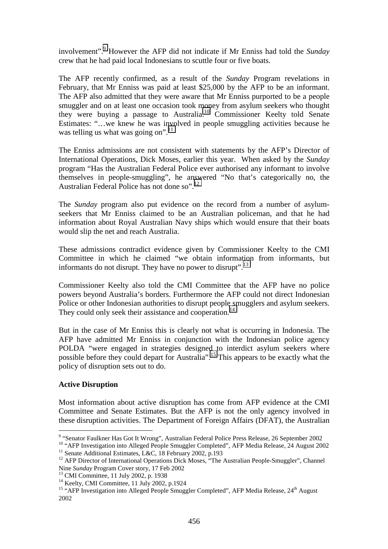involvement".<sup>9</sup> However the AFP did not indicate if Mr Enniss had told the *Sunday* crew that he had paid local Indonesians to scuttle four or five boats.

The AFP recently confirmed, as a result of the *Sunday* Program revelations in February, that Mr Enniss was paid at least \$25,000 by the AFP to be an informant. The AFP also admitted that they were aware that Mr Enniss purported to be a people smuggler and on at least one occasion took money from asylum seekers who thought they were buying a passage to Australia.10 Commissioner Keelty told Senate Estimates: "…we knew he was involved in people smuggling activities because he was telling us what was going on". $11$ 

The Enniss admissions are not consistent with statements by the AFP's Director of International Operations, Dick Moses, earlier this year. When asked by the *Sunday* program "Has the Australian Federal Police ever authorised any informant to involve themselves in people-smuggling", he answered "No that's categorically no, the Australian Federal Police has not done so".<sup>12</sup>

The *Sunday* program also put evidence on the record from a number of asylumseekers that Mr Enniss claimed to be an Australian policeman, and that he had information about Royal Australian Navy ships which would ensure that their boats would slip the net and reach Australia.

These admissions contradict evidence given by Commissioner Keelty to the CMI Committee in which he claimed "we obtain information from informants, but informants do not disrupt. They have no power to disrupt".<sup>13</sup>

Commissioner Keelty also told the CMI Committee that the AFP have no police powers beyond Australia's borders. Furthermore the AFP could not direct Indonesian Police or other Indonesian authorities to disrupt people smugglers and asylum seekers. They could only seek their assistance and cooperation.<sup>14</sup>

But in the case of Mr Enniss this is clearly not what is occurring in Indonesia. The AFP have admitted Mr Enniss in conjunction with the Indonesian police agency POLDA "were engaged in strategies designed to interdict asylum seekers where possible before they could depart for Australia".<sup>15</sup> This appears to be exactly what the policy of disruption sets out to do.

## **Active Disruption**

 $\overline{a}$ 

Most information about active disruption has come from AFP evidence at the CMI Committee and Senate Estimates. But the AFP is not the only agency involved in these disruption activities. The Department of Foreign Affairs (DFAT), the Australian

<sup>13</sup> CMI Committee, 11 July 2002, p. 1938

<sup>&</sup>lt;sup>9</sup> "Senator Faulkner Has Got It Wrong", Australian Federal Police Press Release, 26 September 2002

<sup>&</sup>lt;sup>10</sup> "AFP Investigation into Alleged People Smuggler Completed", AFP Media Release, 24 August 2002 <sup>11</sup> Senate Additional Estimates, L&C, 18 February 2002, p.193

<sup>&</sup>lt;sup>12</sup> AFP Director of International Operations Dick Moses,  $\cdot$  The Australian People-Smuggler", Channel Nine Sunday Program Cover story, 17 Feb 2002

<sup>&</sup>lt;sup>14</sup> Keelty, CMI Committee, 11 July 2002, p.1924

<sup>&</sup>lt;sup>15</sup> "AFP Investigation into Alleged People Smuggler Completed", AFP Media Release, 24<sup>th</sup> August 2002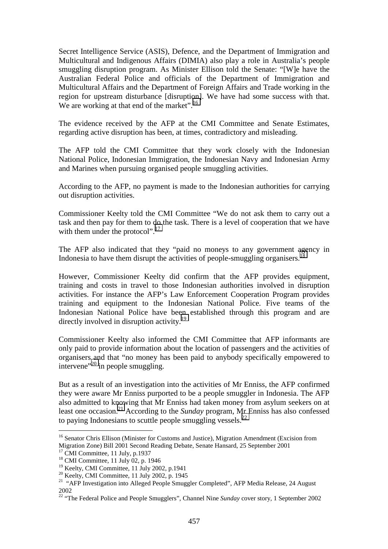Secret Intelligence Service (ASIS), Defence, and the Department of Immigration and Multicultural and Indigenous Affairs (DIMIA) also play a role in Australia's people smuggling disruption program. As Minister Ellison told the Senate: "[W]e have the Australian Federal Police and officials of the Department of Immigration and Multicultural Affairs and the Department of Foreign Affairs and Trade working in the region for upstream disturbance [disruption]. We have had some success with that. We are working at that end of the market".<sup>16</sup>

The evidence received by the AFP at the CMI Committee and Senate Estimates, regarding active disruption has been, at times, contradictory and misleading.

The AFP told the CMI Committee that they work closely with the Indonesian National Police, Indonesian Immigration, the Indonesian Navy and Indonesian Army and Marines when pursuing organised people smuggling activities.

According to the AFP, no payment is made to the Indonesian authorities for carrying out disruption activities.

Commissioner Keelty told the CMI Committee "We do not ask them to carry out a task and then pay for them to do the task. There is a level of cooperation that we have with them under the protocol".<sup>17</sup>

The AFP also indicated that they "paid no moneys to any government agency in Indonesia to have them disrupt the activities of people-smuggling organisers.<sup>18</sup>

However, Commissioner Keelty did confirm that the AFP provides equipment, training and costs in travel to those Indonesian authorities involved in disruption activities. For instance the AFP's Law Enforcement Cooperation Program provides training and equipment to the Indonesian National Police. Five teams of the Indonesian National Police have been established through this program and are directly involved in disruption activity.<sup>19</sup>

Commissioner Keelty also informed the CMI Committee that AFP informants are only paid to provide information about the location of passengers and the activities of organisers and that "no money has been paid to anybody specifically empowered to intervene"<sup>20</sup> in people smuggling.

But as a result of an investigation into the activities of Mr Enniss, the AFP confirmed they were aware Mr Enniss purported to be a people smuggler in Indonesia. The AFP also admitted to knowing that Mr Enniss had taken money from asylum seekers on at least one occasion.21 According to the *Sunday* program, Mr Enniss has also confessed to paying Indonesians to scuttle people smuggling vessels. $^{22}$ 

<sup>&</sup>lt;sup>16</sup> Senator Chris Ellison (Minister for Customs and Justice), Migration Amendment (Excision from Migration Zone) Bill 2001 Second Reading Debate, Senate Hansard, 25 September 2001

 $17$  CMI Committee, 11 July, p.1937

<sup>&</sup>lt;sup>18</sup> CMI Committee, 11 July 02, p. 1946

<sup>&</sup>lt;sup>19</sup> Keelty, CMI Committee, 11 July 2002, p.1941

 $20$  Keelty, CMI Committee, 11 July 2002, p. 1945

<sup>&</sup>lt;sup>21</sup> "AFP Investigation into Alleged People Smuggler Completed", AFP Media Release, 24 August 2002

<sup>22 &</sup>quot;The Federal Police and People Smugglers", Channel Nine *Sunday* cover story, 1 September 2002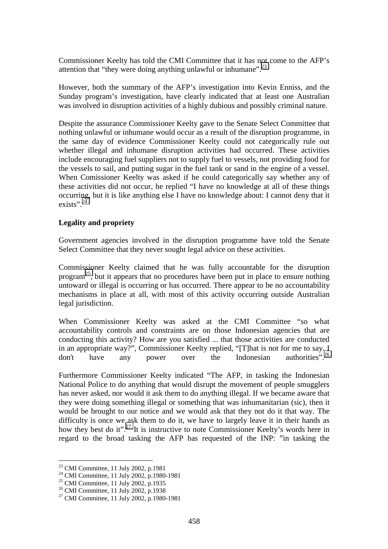Commissioner Keelty has told the CMI Committee that it has not come to the AFP's attention that "they were doing anything unlawful or inhumane".<sup>23</sup>

However, both the summary of the AFP's investigation into Kevin Enniss, and the Sunday program's investigation, have clearly indicated that at least one Australian was involved in disruption activities of a highly dubious and possibly criminal nature.

Despite the assurance Commissioner Keelty gave to the Senate Select Committee that nothing unlawful or inhumane would occur as a result of the disruption programme, in the same day of evidence Commissioner Keelty could not categorically rule out whether illegal and inhumane disruption activities had occurred. These activities include encouraging fuel suppliers not to supply fuel to vessels, not providing food for the vessels to sail, and putting sugar in the fuel tank or sand in the engine of a vessel. When Comissioner Keelty was asked if he could categorically say whether any of these activities did not occur, he replied "I have no knowledge at all of these things occurring, but it is like anything else I have no knowledge about: I cannot deny that it exists"<sup>24</sup>

#### **Legality and propriety**

Government agencies involved in the disruption programme have told the Senate Select Committee that they never sought legal advice on these activities.

Commissioner Keelty claimed that he was fully accountable for the disruption program<sup>25</sup>, but it appears that no procedures have been put in place to ensure nothing untoward or illegal is occurring or has occurred. There appear to be no accountability mechanisms in place at all, with most of this activity occurring outside Australian legal jurisdiction.

When Commissioner Keelty was asked at the CMI Committee "so what accountability controls and constraints are on those Indonesian agencies that are conducting this activity? How are you satisfied ... that those activities are conducted in an appropriate way?", Commissioner Keelty replied, "[T]hat is not for me to say. I don't have any power over the Indonesian authorities".<sup>26</sup>

Furthermore Commissioner Keelty indicated "The AFP, in tasking the Indonesian National Police to do anything that would disrupt the movement of people smugglers has never asked, nor would it ask them to do anything illegal. If we became aware that they were doing something illegal or something that was inhumanitarian (sic), then it would be brought to our notice and we would ask that they not do it that way. The difficulty is once we ask them to do it, we have to largely leave it in their hands as how they best do it".<sup>27</sup> It is instructive to note Commissioner Keelty's words here in regard to the broad tasking the AFP has requested of the INP: "in tasking the

<sup>23</sup> CMI Committee, 11 July 2002, p.1981

<sup>&</sup>lt;sup>24</sup> CMI Committee, 11 July 2002, p.1980-1981

 $^{25}$  CMI Committee, 11 July 2002, p.1935

<sup>26</sup> CMI Committee, 11 July 2002, p.1938

<sup>27</sup> CMI Committee, 11 July 2002, p.1980-1981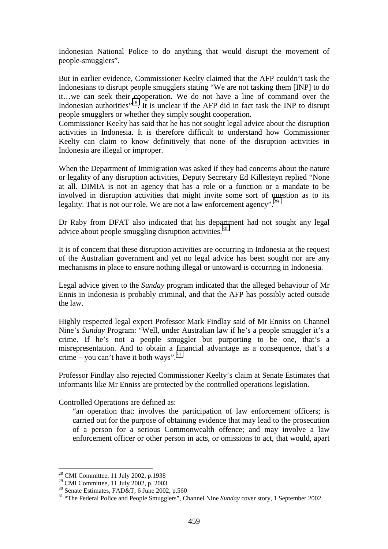Indonesian National Police to do anything that would disrupt the movement of people-smugglers".

But in earlier evidence, Commissioner Keelty claimed that the AFP couldn't task the Indonesians to disrupt people smugglers stating "We are not tasking them [INP] to do it…we can seek their cooperation. We do not have a line of command over the Indonesian authorities<sup> $28$ </sup>. It is unclear if the AFP did in fact task the INP to disrupt people smugglers or whether they simply sought cooperation.

Commissioner Keelty has said that he has not sought legal advice about the disruption activities in Indonesia. It is therefore difficult to understand how Commissioner Keelty can claim to know definitively that none of the disruption activities in Indonesia are illegal or improper.

When the Department of Immigration was asked if they had concerns about the nature or legality of any disruption activities, Deputy Secretary Ed Killesteyn replied "None at all. DIMIA is not an agency that has a role or a function or a mandate to be involved in disruption activities that might invite some sort of question as to its legality. That is not our role. We are not a law enforcement agency".<sup>29</sup>

Dr Raby from DFAT also indicated that his department had not sought any legal advice about people smuggling disruption activities.<sup>30</sup>

It is of concern that these disruption activities are occurring in Indonesia at the request of the Australian government and yet no legal advice has been sought nor are any mechanisms in place to ensure nothing illegal or untoward is occurring in Indonesia.

Legal advice given to the *Sunday* program indicated that the alleged behaviour of Mr Ennis in Indonesia is probably criminal, and that the AFP has possibly acted outside the law.

Highly respected legal expert Professor Mark Findlay said of Mr Enniss on Channel Nine's *Sunday* Program: "Well, under Australian law if he's a people smuggler it's a crime. If he's not a people smuggler but purporting to be one, that's a misrepresentation. And to obtain a financial advantage as a consequence, that's a crime – you can't have it both ways".  $31$ 

Professor Findlay also rejected Commissioner Keelty's claim at Senate Estimates that informants like Mr Enniss are protected by the controlled operations legislation.

Controlled Operations are defined as:

"an operation that: involves the participation of law enforcement officers; is carried out for the purpose of obtaining evidence that may lead to the prosecution of a person for a serious Commonwealth offence; and may involve a law enforcement officer or other person in acts, or omissions to act, that would, apart

 $2<sup>28</sup>$  CMI Committee, 11 July 2002, p.1938

<sup>29</sup> CMI Committee, 11 July 2002, p. 2003

 $30$  Senate Estimates, FAD&T, 6 June 2002, p.560

<sup>&</sup>lt;sup>31</sup> "The Federal Police and People Smugglers", Channel Nine *Sunday* cover story, 1 September 2002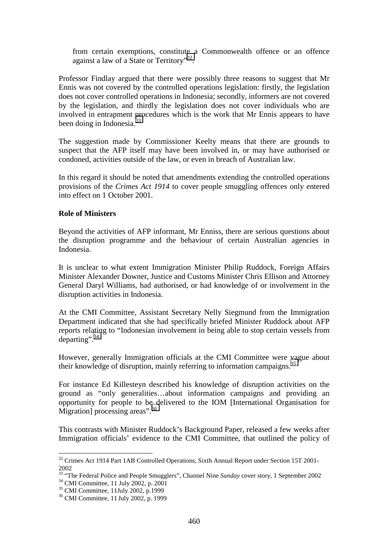from certain exemptions, constitute a Commonwealth offence or an offence against a law of a State or Territory"<sup>32</sup>.

Professor Findlay argued that there were possibly three reasons to suggest that Mr Ennis was not covered by the controlled operations legislation: firstly, the legislation does not cover controlled operations in Indonesia; secondly, informers are not covered by the legislation, and thirdly the legislation does not cover individuals who are involved in entrapment procedures which is the work that Mr Ennis appears to have been doing in Indonesia.<sup>33</sup>

The suggestion made by Commissioner Keelty means that there are grounds to suspect that the AFP itself may have been involved in, or may have authorised or condoned, activities outside of the law, or even in breach of Australian law.

In this regard it should be noted that amendments extending the controlled operations provisions of the *Crimes Act 1914* to cover people smuggling offences only entered into effect on 1 October 2001.

#### **Role of Ministers**

Beyond the activities of AFP informant, Mr Enniss, there are serious questions about the disruption programme and the behaviour of certain Australian agencies in Indonesia.

It is unclear to what extent Immigration Minister Philip Ruddock, Foreign Affairs Minister Alexander Downer, Justice and Customs Minister Chris Ellison and Attorney General Daryl Williams, had authorised, or had knowledge of or involvement in the disruption activities in Indonesia.

At the CMI Committee, Assistant Secretary Nelly Siegmund from the Immigration Department indicated that she had specifically briefed Minister Ruddock about AFP reports relating to "Indonesian involvement in being able to stop certain vessels from departing".<sup>34</sup>

However, generally Immigration officials at the CMI Committee were vague about their knowledge of disruption, mainly referring to information campaigns.<sup>35</sup>

For instance Ed Killesteyn described his knowledge of disruption activities on the ground as "only generalities…about information campaigns and providing an opportunity for people to be delivered to the IOM [International Organisation for Migration] processing areas".<sup>36</sup>

This contrasts with Minister Ruddock's Background Paper, released a few weeks after Immigration officials' evidence to the CMI Committee, that outlined the policy of

 $32$  Crimes Act 1914 Part 1AB Controlled Operations, Sixth Annual Report under Section 15T 2001-2002

<sup>&</sup>lt;sup>33</sup> "The Federal Police and People Smugglers", Channel Nine *Sunday* cover story, 1 September 2002 <sup>34</sup> CMI Committee, 11 July 2002, p. 2001

<sup>35</sup> CMI Committee, 11July 2002, p.1999

<sup>36</sup> CMI Committee, 11 July 2002, p. 1999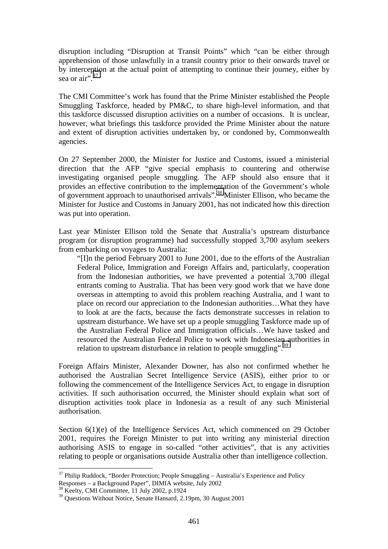disruption including "Disruption at Transit Points" which "can be either through apprehension of those unlawfully in a transit country prior to their onwards travel or by interception at the actual point of attempting to continue their journey, either by sea or air".<sup>37</sup>

The CMI Committee's work has found that the Prime Minister established the People Smuggling Taskforce, headed by PM&C, to share high-level information, and that this taskforce discussed disruption activities on a number of occasions. It is unclear, however, what briefings this taskforce provided the Prime Minister about the nature and extent of disruption activities undertaken by, or condoned by, Commonwealth agencies.

On 27 September 2000, the Minister for Justice and Customs, issued a ministerial direction that the AFP "give special emphasis to countering and otherwise investigating organised people smuggling. The AFP should also ensure that it provides an effective contribution to the implementation of the Government's whole of government approach to unauthorised arrivals".38 Minister Ellison, who became the Minister for Justice and Customs in January 2001, has not indicated how this direction was put into operation.

Last year Minister Ellison told the Senate that Australia's upstream disturbance program (or disruption programme) had successfully stopped 3,700 asylum seekers from embarking on voyages to Australia:

"[I]n the period February 2001 to June 2001, due to the efforts of the Australian Federal Police, Immigration and Foreign Affairs and, particularly, cooperation from the Indonesian authorities, we have prevented a potential 3,700 illegal entrants coming to Australia. That has been very good work that we have done overseas in attempting to avoid this problem reaching Australia, and I want to place on record our appreciation to the Indonesian authorities…What they have to look at are the facts, because the facts demonstrate successes in relation to upstream disturbance. We have set up a people smuggling Taskforce made up of the Australian Federal Police and Immigration officials…We have tasked and resourced the Australian Federal Police to work with Indonesian authorities in relation to upstream disturbance in relation to people smuggling".<sup>39</sup>

Foreign Affairs Minister, Alexander Downer, has also not confirmed whether he authorised the Australian Secret Intelligence Service (ASIS), either prior to or following the commencement of the Intelligence Services Act, to engage in disruption activities. If such authorisation occurred, the Minister should explain what sort of disruption activities took place in Indonesia as a result of any such Ministerial authorisation.

Section  $6(1)(e)$  of the Intelligence Services Act, which commenced on 29 October 2001, requires the Foreign Minister to put into writing any ministerial direction authorising ASIS to engage in so-called "other activities", that is any activities relating to people or organisations outside Australia other than intelligence collection.

 $37$  Philip Ruddock, "Border Protection; People Smuggling – Australia's Experience and Policy Responses – a Background Paper", DIMIA website, July 2002

<sup>&</sup>lt;sup>38</sup> Keelty, CMI Committee, 11 July 2002, p.1924

<sup>39</sup> Questions Without Notice, Senate Hansard, 2.19pm, 30 August 2001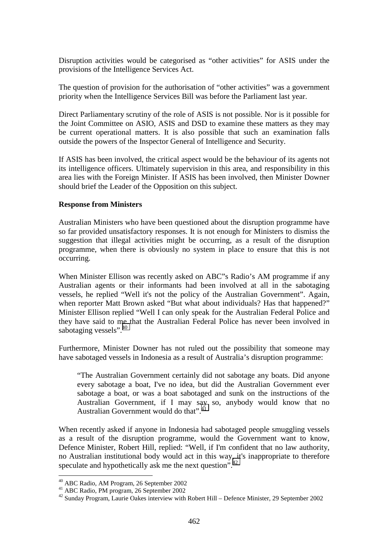Disruption activities would be categorised as "other activities" for ASIS under the provisions of the Intelligence Services Act.

The question of provision for the authorisation of "other activities" was a government priority when the Intelligence Services Bill was before the Parliament last year.

Direct Parliamentary scrutiny of the role of ASIS is not possible. Nor is it possible for the Joint Committee on ASIO, ASIS and DSD to examine these matters as they may be current operational matters. It is also possible that such an examination falls outside the powers of the Inspector General of Intelligence and Security.

If ASIS has been involved, the critical aspect would be the behaviour of its agents not its intelligence officers. Ultimately supervision in this area, and responsibility in this area lies with the Foreign Minister. If ASIS has been involved, then Minister Downer should brief the Leader of the Opposition on this subject.

#### **Response from Ministers**

Australian Ministers who have been questioned about the disruption programme have so far provided unsatisfactory responses. It is not enough for Ministers to dismiss the suggestion that illegal activities might be occurring, as a result of the disruption programme, when there is obviously no system in place to ensure that this is not occurring.

When Minister Ellison was recently asked on ABC"s Radio's AM programme if any Australian agents or their informants had been involved at all in the sabotaging vessels, he replied "Well it's not the policy of the Australian Government". Again, when reporter Matt Brown asked "But what about individuals? Has that happened?" Minister Ellison replied "Well I can only speak for the Australian Federal Police and they have said to me that the Australian Federal Police has never been involved in sabotaging vessels".<sup>40</sup>

Furthermore, Minister Downer has not ruled out the possibility that someone may have sabotaged vessels in Indonesia as a result of Australia's disruption programme:

"The Australian Government certainly did not sabotage any boats. Did anyone every sabotage a boat, I've no idea, but did the Australian Government ever sabotage a boat, or was a boat sabotaged and sunk on the instructions of the Australian Government, if I may say so, anybody would know that no Australian Government would do that".<sup>41</sup>

When recently asked if anyone in Indonesia had sabotaged people smuggling vessels as a result of the disruption programme, would the Government want to know, Defence Minister, Robert Hill, replied: "Well, if I'm confident that no law authority, no Australian institutional body would act in this way, it's inappropriate to therefore speculate and hypothetically ask me the next question".<sup>42</sup>

<sup>&</sup>lt;sup>40</sup> ABC Radio, AM Program, 26 September 2002

<sup>41</sup> ABC Radio, PM program, 26 September 2002

<sup>&</sup>lt;sup>42</sup> Sunday Program, Laurie Oakes interview with Robert Hill – Defence Minister, 29 September 2002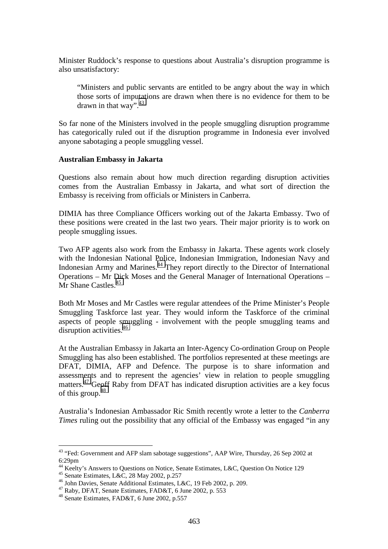Minister Ruddock's response to questions about Australia's disruption programme is also unsatisfactory:

"Ministers and public servants are entitled to be angry about the way in which those sorts of imputations are drawn when there is no evidence for them to be drawn in that way".  $43$ 

So far none of the Ministers involved in the people smuggling disruption programme has categorically ruled out if the disruption programme in Indonesia ever involved anyone sabotaging a people smuggling vessel.

#### **Australian Embassy in Jakarta**

Questions also remain about how much direction regarding disruption activities comes from the Australian Embassy in Jakarta, and what sort of direction the Embassy is receiving from officials or Ministers in Canberra.

DIMIA has three Compliance Officers working out of the Jakarta Embassy. Two of these positions were created in the last two years. Their major priority is to work on people smuggling issues.

Two AFP agents also work from the Embassy in Jakarta. These agents work closely with the Indonesian National Police, Indonesian Immigration, Indonesian Navy and Indonesian Army and Marines.<sup>44</sup> They report directly to the Director of International Operations – Mr Dick Moses and the General Manager of International Operations – Mr Shane Castles.<sup>45</sup>

Both Mr Moses and Mr Castles were regular attendees of the Prime Minister's People Smuggling Taskforce last year. They would inform the Taskforce of the criminal aspects of people smuggling - involvement with the people smuggling teams and disruption activities.<sup>46</sup>

At the Australian Embassy in Jakarta an Inter-Agency Co-ordination Group on People Smuggling has also been established. The portfolios represented at these meetings are DFAT, DIMIA, AFP and Defence. The purpose is to share information and assessments and to represent the agencies' view in relation to people smuggling matters.47 Geoff Raby from DFAT has indicated disruption activities are a key focus of this group. $48$ 

Australia's Indonesian Ambassador Ric Smith recently wrote a letter to the *Canberra Times* ruling out the possibility that any official of the Embassy was engaged "in any

<sup>&</sup>lt;sup>43</sup> "Fed: Government and AFP slam sabotage suggestions", AAP Wire, Thursday, 26 Sep 2002 at 6:29pm

<sup>&</sup>lt;sup>44</sup> Keelty's Answers to Questions on Notice, Senate Estimates, L&C, Question On Notice 129

<sup>45</sup> Senate Estimates, L&C, 28 May 2002, p.257

<sup>46</sup> John Davies, Senate Additional Estimates, L&C, 19 Feb 2002, p. 209.

<sup>47</sup> Raby, DFAT, Senate Estimates, FAD&T, 6 June 2002, p. 553

<sup>48</sup> Senate Estimates, FAD&T, 6 June 2002, p.557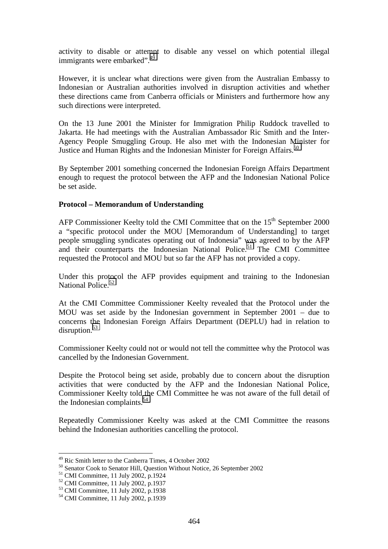activity to disable or attempt to disable any vessel on which potential illegal immigrants were embarked".<sup>49</sup>

However, it is unclear what directions were given from the Australian Embassy to Indonesian or Australian authorities involved in disruption activities and whether these directions came from Canberra officials or Ministers and furthermore how any such directions were interpreted.

On the 13 June 2001 the Minister for Immigration Philip Ruddock travelled to Jakarta. He had meetings with the Australian Ambassador Ric Smith and the Inter-Agency People Smuggling Group. He also met with the Indonesian Minister for Justice and Human Rights and the Indonesian Minister for Foreign Affairs.<sup>50</sup>

By September 2001 something concerned the Indonesian Foreign Affairs Department enough to request the protocol between the AFP and the Indonesian National Police be set aside.

#### **Protocol – Memorandum of Understanding**

AFP Commissioner Keelty told the CMI Committee that on the 15<sup>th</sup> September 2000 a "specific protocol under the MOU [Memorandum of Understanding] to target people smuggling syndicates operating out of Indonesia" was agreed to by the AFP and their counterparts the Indonesian National Police.<sup>51</sup> The CMI Committee requested the Protocol and MOU but so far the AFP has not provided a copy.

Under this protocol the AFP provides equipment and training to the Indonesian National Police.<sup>52</sup>

At the CMI Committee Commissioner Keelty revealed that the Protocol under the MOU was set aside by the Indonesian government in September 2001 – due to concerns the Indonesian Foreign Affairs Department (DEPLU) had in relation to disruption. $53$ 

Commissioner Keelty could not or would not tell the committee why the Protocol was cancelled by the Indonesian Government.

Despite the Protocol being set aside, probably due to concern about the disruption activities that were conducted by the AFP and the Indonesian National Police, Commissioner Keelty told the CMI Committee he was not aware of the full detail of the Indonesian complaints.<sup>54</sup>

Repeatedly Commissioner Keelty was asked at the CMI Committee the reasons behind the Indonesian authorities cancelling the protocol.

<sup>&</sup>lt;sup>49</sup> Ric Smith letter to the Canberra Times, 4 October 2002

<sup>&</sup>lt;sup>50</sup> Senator Cook to Senator Hill, Question Without Notice, 26 September 2002

<sup>51</sup> CMI Committee, 11 July 2002, p.1924

 $52$  CMI Committee, 11 July 2002, p.1937

<sup>53</sup> CMI Committee, 11 July 2002, p.1938

<sup>54</sup> CMI Committee, 11 July 2002, p.1939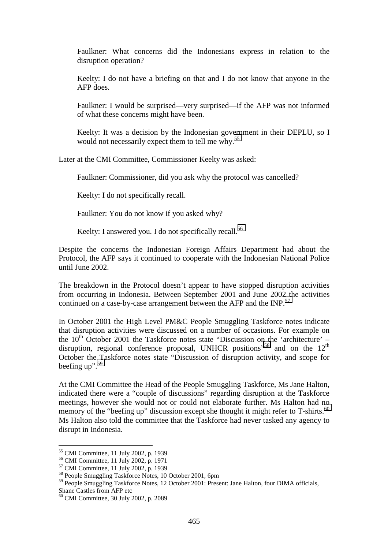Faulkner: What concerns did the Indonesians express in relation to the disruption operation?

Keelty: I do not have a briefing on that and I do not know that anyone in the AFP does.

Faulkner: I would be surprised—very surprised—if the AFP was not informed of what these concerns might have been.

Keelty: It was a decision by the Indonesian government in their DEPLU, so I would not necessarily expect them to tell me why.<sup>55</sup>

Later at the CMI Committee, Commissioner Keelty was asked:

Faulkner: Commissioner, did you ask why the protocol was cancelled?

Keelty: I do not specifically recall.

Faulkner: You do not know if you asked why?

Keelty: I answered you. I do not specifically recall.<sup>56</sup>

Despite the concerns the Indonesian Foreign Affairs Department had about the Protocol, the AFP says it continued to cooperate with the Indonesian National Police until June 2002.

The breakdown in the Protocol doesn't appear to have stopped disruption activities from occurring in Indonesia. Between September 2001 and June 2002 the activities continued on a case-by-case arrangement between the AFP and the INP.<sup>57</sup>

In October 2001 the High Level PM&C People Smuggling Taskforce notes indicate that disruption activities were discussed on a number of occasions. For example on the  $10^{th}$  October 2001 the Taskforce notes state "Discussion on the 'architecture' – disruption, regional conference proposal, UNHCR positions"<sup>58</sup> and on the 12<sup>th</sup> October the Taskforce notes state "Discussion of disruption activity, and scope for beefing  $up$ ".<sup>59</sup>

At the CMI Committee the Head of the People Smuggling Taskforce, Ms Jane Halton, indicated there were a "couple of discussions" regarding disruption at the Taskforce meetings, however she would not or could not elaborate further. Ms Halton had no memory of the "beefing up" discussion except she thought it might refer to T-shirts.<sup>60</sup> Ms Halton also told the committee that the Taskforce had never tasked any agency to disrupt in Indonesia.

<sup>55</sup> CMI Committee, 11 July 2002, p. 1939

<sup>56</sup> CMI Committee, 11 July 2002, p. 1971

<sup>57</sup> CMI Committee, 11 July 2002, p. 1939

<sup>58</sup> People Smuggling Taskforce Notes, 10 October 2001, 6pm

<sup>&</sup>lt;sup>59</sup> People Smuggling Taskforce Notes, 12 October 2001: Present: Jane Halton, four DIMA officials, Shane Castles from AFP etc

<sup>60</sup> CMI Committee, 30 July 2002, p. 2089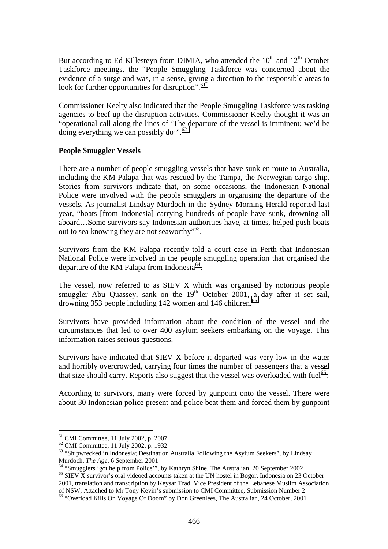But according to Ed Killesteyn from DIMIA, who attended the  $10<sup>th</sup>$  and  $12<sup>th</sup>$  October Taskforce meetings, the "People Smuggling Taskforce was concerned about the evidence of a surge and was, in a sense, giving a direction to the responsible areas to look for further opportunities for disruption".<sup>61</sup>

Commissioner Keelty also indicated that the People Smuggling Taskforce was tasking agencies to beef up the disruption activities. Commissioner Keelty thought it was an "operational call along the lines of 'The departure of the vessel is imminent; we'd be doing everything we can possibly do".<sup>62</sup>

#### **People Smuggler Vessels**

There are a number of people smuggling vessels that have sunk en route to Australia, including the KM Palapa that was rescued by the Tampa, the Norwegian cargo ship. Stories from survivors indicate that, on some occasions, the Indonesian National Police were involved with the people smugglers in organising the departure of the vessels. As journalist Lindsay Murdoch in the Sydney Morning Herald reported last year, "boats [from Indonesia] carrying hundreds of people have sunk, drowning all aboard…Some survivors say Indonesian authorities have, at times, helped push boats out to sea knowing they are not seaworthy"63.

Survivors from the KM Palapa recently told a court case in Perth that Indonesian National Police were involved in the people smuggling operation that organised the departure of the KM Palapa from Indonesia<sup>64</sup>.

The vessel, now referred to as SIEV X which was organised by notorious people smuggler Abu Quassey, sank on the  $19<sup>th</sup>$  October 2001, a day after it set sail, drowning 353 people including 142 women and 146 children.<sup>65</sup>

Survivors have provided information about the condition of the vessel and the circumstances that led to over 400 asylum seekers embarking on the voyage. This information raises serious questions.

Survivors have indicated that SIEV X before it departed was very low in the water and horribly overcrowded, carrying four times the number of passengers that a vessel that size should carry. Reports also suggest that the vessel was overloaded with fuel<sup>66</sup>.

According to survivors, many were forced by gunpoint onto the vessel. There were about 30 Indonesian police present and police beat them and forced them by gunpoint

<sup>61</sup> CMI Committee, 11 July 2002, p. 2007

<sup>62</sup> CMI Committee, 11 July 2002, p. 1932

<sup>&</sup>lt;sup>63</sup> "Shipwrecked in Indonesia; Destination Australia Following the Asylum Seekers", by Lindsay

Murdoch, *The Age*, 6 September 2001<br><sup>64</sup> "Smugglers 'got help from Police'", by Kathryn Shine, The Australian, 20 September 2002  $65$  SIEV  $\overline{X}$  survivor's oral videoed accounts taken at the UN hostel in Bogor, Indonesia on 23 October 2001, translation and transcription by Keysar Trad, Vice President of the Lebanese Muslim Association of NSW; Attached to Mr Tony Kevin's submission to CMI Committee, Submission Number 2

<sup>66 &</sup>quot;Overload Kills On Voyage Of Doom" by Don Greenlees, The Australian, 24 October, 2001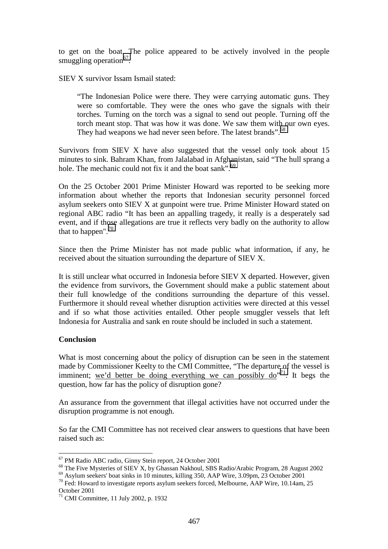to get on the boat. The police appeared to be actively involved in the people smuggling operation $^{67}$ .

SIEV X survivor Issam Ismail stated:

"The Indonesian Police were there. They were carrying automatic guns. They were so comfortable. They were the ones who gave the signals with their torches. Turning on the torch was a signal to send out people. Turning off the torch meant stop. That was how it was done. We saw them with our own eyes. They had weapons we had never seen before. The latest brands".<sup>68</sup>

Survivors from SIEV X have also suggested that the vessel only took about 15 minutes to sink. Bahram Khan, from Jalalabad in Afghanistan, said "The hull sprang a hole. The mechanic could not fix it and the boat sank".<sup>69</sup>

On the 25 October 2001 Prime Minister Howard was reported to be seeking more information about whether the reports that Indonesian security personnel forced asylum seekers onto SIEV X at gunpoint were true. Prime Minister Howard stated on regional ABC radio "It has been an appalling tragedy, it really is a desperately sad event, and if those allegations are true it reflects very badly on the authority to allow that to happen". $70$ 

Since then the Prime Minister has not made public what information, if any, he received about the situation surrounding the departure of SIEV X.

It is still unclear what occurred in Indonesia before SIEV X departed. However, given the evidence from survivors, the Government should make a public statement about their full knowledge of the conditions surrounding the departure of this vessel. Furthermore it should reveal whether disruption activities were directed at this vessel and if so what those activities entailed. Other people smuggler vessels that left Indonesia for Australia and sank en route should be included in such a statement.

#### **Conclusion**

 $\overline{a}$ 

What is most concerning about the policy of disruption can be seen in the statement made by Commissioner Keelty to the CMI Committee, "The departure of the vessel is imminent; we'd better be doing everything we can possibly  $d\omega^{71}$ . It begs the question, how far has the policy of disruption gone?

An assurance from the government that illegal activities have not occurred under the disruption programme is not enough.

So far the CMI Committee has not received clear answers to questions that have been raised such as:

<sup>&</sup>lt;sup>67</sup> PM Radio ABC radio, Ginny Stein report, 24 October 2001

<sup>&</sup>lt;sup>68</sup> The Five Mysteries of SIEV X, by Ghassan Nakhoul, SBS Radio/Arabic Program, 28 August 2002

 $^{69}$  Asylum seekers' boat sinks in 10 minutes, killing 350, AAP Wire, 3.09pm, 23 October 2001 <sup>70</sup> Fed: Howard to investigate reports asylum seekers forced, Melbourne, AAP Wire, 10.14am, 25

October 2001

 $^{71}$  CMI Committee, 11 July 2002, p. 1932